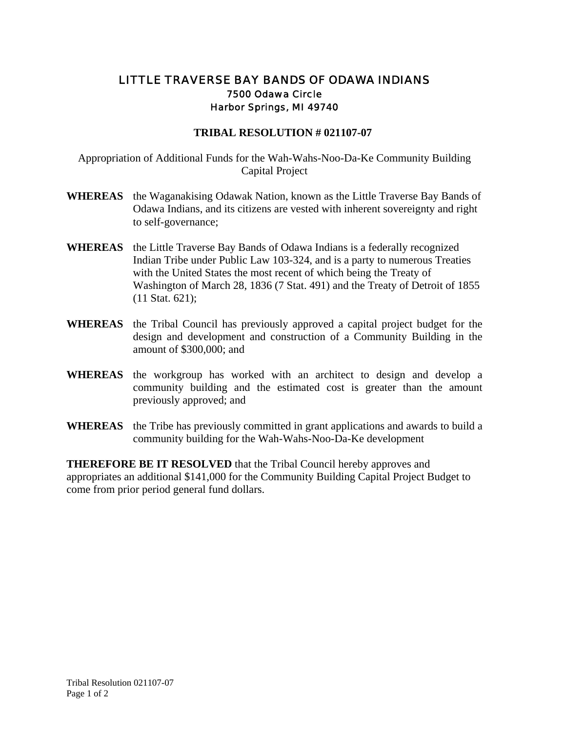## LITTLE TRAVERSE BAY BANDS OF ODAWA INDIANS 7500 Odawa Circle Harbor Springs, MI 49740

## **TRIBAL RESOLUTION # 021107-07**

Appropriation of Additional Funds for the Wah-Wahs-Noo-Da-Ke Community Building Capital Project

- **WHEREAS** the Waganakising Odawak Nation, known as the Little Traverse Bay Bands of Odawa Indians, and its citizens are vested with inherent sovereignty and right to self-governance;
- **WHEREAS** the Little Traverse Bay Bands of Odawa Indians is a federally recognized Indian Tribe under Public Law 103-324, and is a party to numerous Treaties with the United States the most recent of which being the Treaty of Washington of March 28, 1836 (7 Stat. 491) and the Treaty of Detroit of 1855 (11 Stat. 621);
- **WHEREAS** the Tribal Council has previously approved a capital project budget for the design and development and construction of a Community Building in the amount of \$300,000; and
- **WHEREAS** the workgroup has worked with an architect to design and develop a community building and the estimated cost is greater than the amount previously approved; and
- **WHEREAS** the Tribe has previously committed in grant applications and awards to build a community building for the Wah-Wahs-Noo-Da-Ke development

**THEREFORE BE IT RESOLVED** that the Tribal Council hereby approves and appropriates an additional \$141,000 for the Community Building Capital Project Budget to come from prior period general fund dollars.